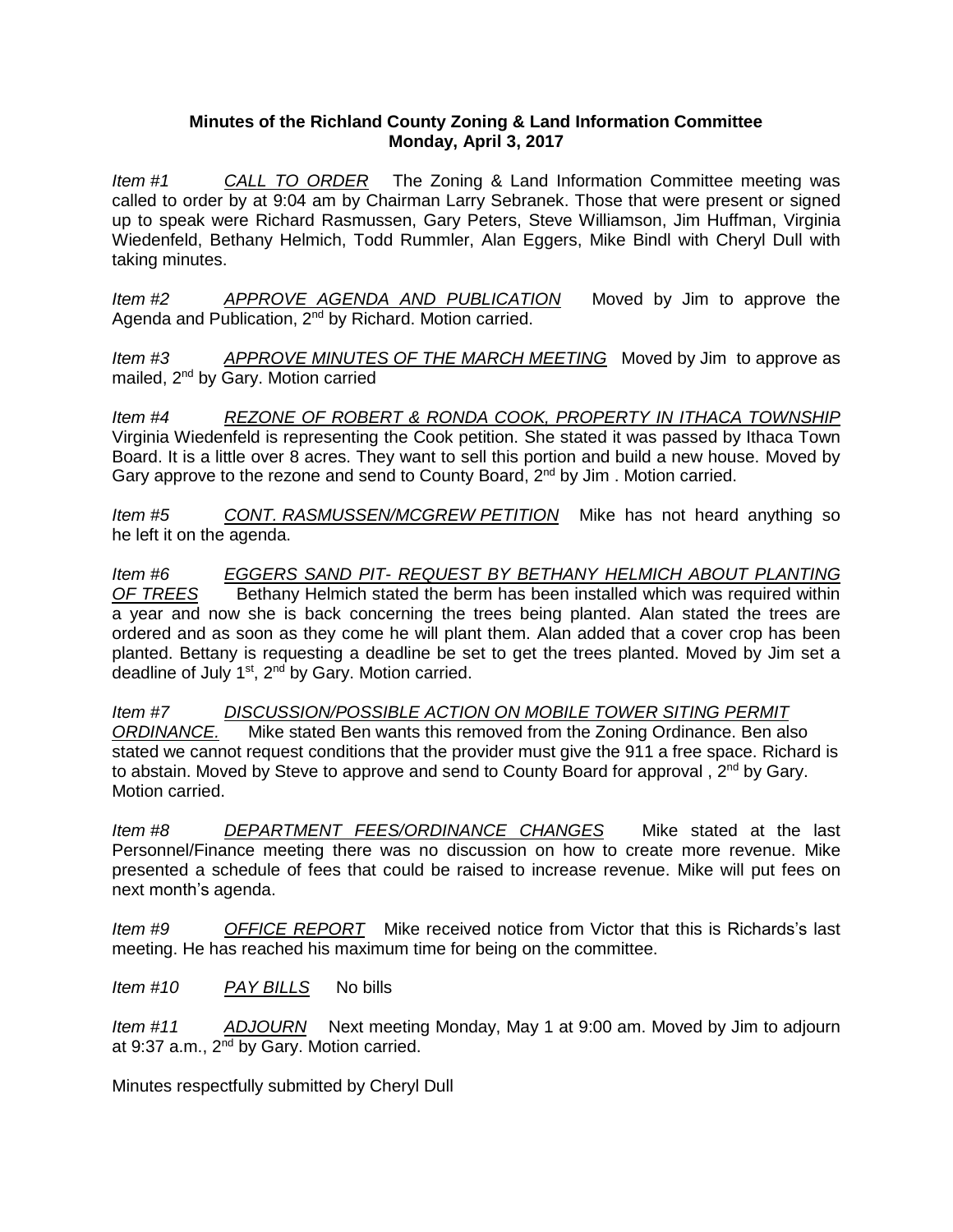## **Minutes of the Richland County Zoning & Land Information Committee Monday, April 3, 2017**

*Item #1 CALL TO ORDER* The Zoning & Land Information Committee meeting was called to order by at 9:04 am by Chairman Larry Sebranek. Those that were present or signed up to speak were Richard Rasmussen, Gary Peters, Steve Williamson, Jim Huffman, Virginia Wiedenfeld, Bethany Helmich, Todd Rummler, Alan Eggers, Mike Bindl with Cheryl Dull with taking minutes.

*Item #2 APPROVE AGENDA AND PUBLICATION* Moved by Jim to approve the Agenda and Publication, 2<sup>nd</sup> by Richard. Motion carried.

*Item #3 APPROVE MINUTES OF THE MARCH MEETING* Moved by Jim to approve as mailed, 2nd by Gary. Motion carried

*Item #4 REZONE OF ROBERT & RONDA COOK, PROPERTY IN ITHACA TOWNSHIP* Virginia Wiedenfeld is representing the Cook petition. She stated it was passed by Ithaca Town Board. It is a little over 8 acres. They want to sell this portion and build a new house. Moved by Gary approve to the rezone and send to County Board, 2<sup>nd</sup> by Jim. Motion carried.

*Item #5 CONT. RASMUSSEN/MCGREW PETITION* Mike has not heard anything so he left it on the agenda.

*Item #6 EGGERS SAND PIT- REQUEST BY BETHANY HELMICH ABOUT PLANTING OF TREES* Bethany Helmich stated the berm has been installed which was required within a year and now she is back concerning the trees being planted. Alan stated the trees are ordered and as soon as they come he will plant them. Alan added that a cover crop has been planted. Bettany is requesting a deadline be set to get the trees planted. Moved by Jim set a deadline of July 1<sup>st</sup>, 2<sup>nd</sup> by Gary. Motion carried.

*Item #7 DISCUSSION/POSSIBLE ACTION ON MOBILE TOWER SITING PERMIT ORDINANCE.* Mike stated Ben wants this removed from the Zoning Ordinance. Ben also stated we cannot request conditions that the provider must give the 911 a free space. Richard is to abstain. Moved by Steve to approve and send to County Board for approval,  $2^{nd}$  by Gary. Motion carried.

*Item #8 DEPARTMENT FEES/ORDINANCE CHANGES* Mike stated at the last Personnel/Finance meeting there was no discussion on how to create more revenue. Mike presented a schedule of fees that could be raised to increase revenue. Mike will put fees on next month's agenda.

*Item #9 OFFICE REPORT* Mike received notice from Victor that this is Richards's last meeting. He has reached his maximum time for being on the committee.

*Item #10 PAY BILLS* No bills

*Item #11 ADJOURN* Next meeting Monday, May 1 at 9:00 am. Moved by Jim to adjourn at 9:37 a.m.,  $2^{nd}$  by Gary. Motion carried.

Minutes respectfully submitted by Cheryl Dull